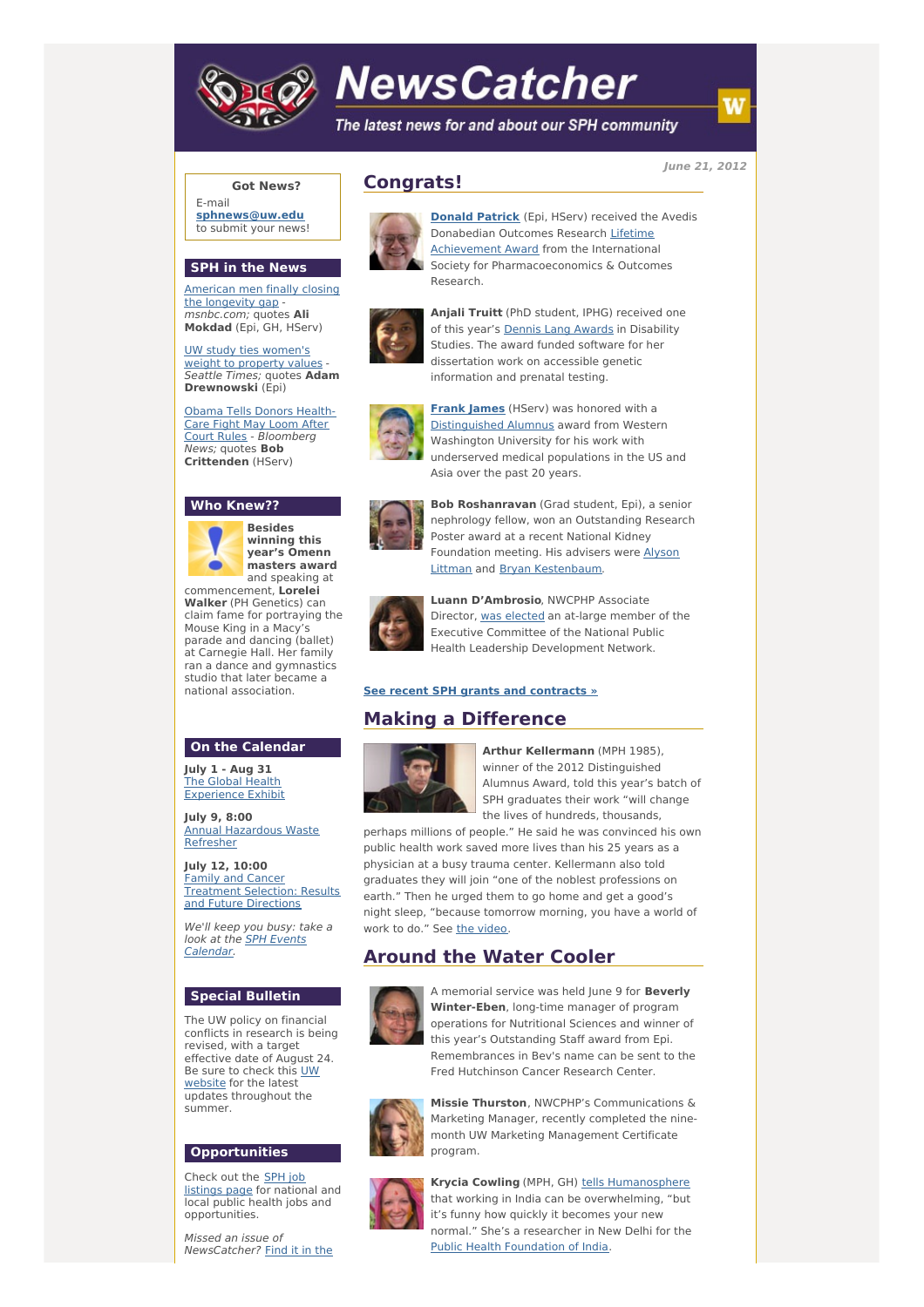

# **NewsCatcher**

The latest news for and about our SPH community

**June 21, 2012**

### **Got News?**

E-mail **[sphnews@uw.edu](mailto:sphnews@uw.edu)** to submit your news!

#### **SPH in the News**

[American](http://engage.washington.edu/site/R?i=ZF3JJZ3_bEB9lweiUH0dgw) men finally closing the longevity gap msnbc.com; quotes **Ali Mokdad** (Epi, GH, HServ)

UW study ties [women's](http://engage.washington.edu/site/R?i=e7JpUFV4J-frffO--sy1TQ) weight to property values Seattle Times; quotes **Adam Drewnowski** (Epi)

Obama Tells Donors Health-Care Fight May Loom After Court Rules - [Bloomberg](http://engage.washington.edu/site/R?i=-LrrF9juX-v-0bc8A8M1zw) News; quotes **Bob Crittenden** (HServ)

## **Who Knew??**



**Besides winning this year's Omenn masters award** and speaking at commencement, **Lorelei**

**Walker** (PH Genetics) can claim fame for portraying the Mouse King in a Macy's parade and dancing (ballet) at Carnegie Hall. Her family ran a dance and gymnastics studio that later became a national association.

#### **On the Calendar**

**July 1 - Aug 31** The Global Health [Experience](http://engage.washington.edu/site/R?i=r7U8iNR_iOglqKkGAl96Iw) Exhibit

**July 9, 8:00** Annual [Hazardous](http://engage.washington.edu/site/R?i=kvQPx3LBAyuUumxSNErbKQ) Waste Refresher

**July 12, 10:00** Family and Cancer [Treatment](http://engage.washington.edu/site/R?i=fSHp4GtkEwRRugtIqqAK_Q) Selection: Results and Future Directions

We'll keep you busy: take a look at the SPH Events [Calendar.](http://engage.washington.edu/site/R?i=Rqqx3nXhV4I7BLIDDIBORg)

#### **Special Bulletin**

The UW policy on financial conflicts in research is being revised, with a target effective date of August 24. Be sure to check this UW [website](http://engage.washington.edu/site/R?i=GGvg9MBVhj8EdcxOajSoLA) for the latest updates throughout the summer.

#### **Opportunities**

Check out the SPH job [listings](http://engage.washington.edu/site/R?i=DG5T-U8kHiea-23UqQgudA) page for national and local public health jobs and opportunities.

Missed an issue of [NewsCatcher?](http://engage.washington.edu/site/R?i=pjWnxGVptxq7SBNwl4SSpQ) Find it in the





**[Donald](http://engage.washington.edu/site/R?i=j6xhkQK-iTiPG5qQwCbNtQ) Patrick** (Epi, HServ) received the Avedis [Donabedian](http://engage.washington.edu/site/R?i=binDcbTGrA0lH-R6VAUdrA) Outcomes Research Lifetime Achievement Award from the International Society for Pharmacoeconomics & Outcomes Research.



**Anjali Truitt** (PhD student, IPHG) received one of this year's **Dennis Lang [Awards](http://engage.washington.edu/site/R?i=9FF5eFwl5gbtcLLxxRzVKA)** in Disability Studies. The award funded software for her dissertation work on accessible genetic information and prenatal testing.



**[Frank](http://engage.washington.edu/site/R?i=WabN8R0r2o_ffdzUHJYhSg) James** (HServ) was honored with a [Distinguished](http://engage.washington.edu/site/R?i=cCP0RoG2Rdstp7Av1v-Gzw) Alumnus award from Western Washington University for his work with underserved medical populations in the US and Asia over the past 20 years.



**Bob Roshanravan** (Grad student, Epi), a senior nephrology fellow, won an Outstanding Research Poster award at a recent National Kidney Foundation meeting. His advisers were Alyson Littman and Bryan [Kestenbaum.](http://engage.washington.edu/site/R?i=iF0i9xcAy2epYaU8N_2GSg)



**Luann D'Ambrosio**, NWCPHP Associate Director, was [elected](http://engage.washington.edu/site/R?i=3EQvbiCE-u5Q7Jygg-duEw) an at-large member of the Executive Committee of the National Public Health Leadership Development Network.

#### **See recent SPH grants and [contracts](http://engage.washington.edu/site/R?i=N1ZZyGorhtB23tzoNXHNdA) »**

# **Making a Difference**



**Arthur Kellermann** (MPH 1985), winner of the 2012 Distinguished Alumnus Award, told this year's batch of SPH graduates their work "will change the lives of hundreds, thousands,

perhaps millions of people." He said he was convinced his own public health work saved more lives than his 25 years as a physician at a busy trauma center. Kellermann also told graduates they will join "one of the noblest professions on earth." Then he urged them to go home and get a good's night sleep, "because tomorrow morning, you have a world of work to do." See the [video](http://engage.washington.edu/site/R?i=CUps8V89hiRPuw2N1NPTiQ).

# **Around the Water Cooler**



A memorial service was held June 9 for **Beverly Winter-Eben**, long-time manager of program operations for Nutritional Sciences and winner of this year's Outstanding Staff award from Epi. Remembrances in Bev's name can be sent to the Fred Hutchinson Cancer Research Center.



**Missie Thurston**, NWCPHP's Communications & Marketing Manager, recently completed the ninemonth UW Marketing Management Certificate program.



**Krycia Cowling** (MPH, GH) tells [Humanosphere](http://engage.washington.edu/site/R?i=9Jkuy1IkUL6JTYkoXlr9JQ) that working in India can be overwhelming, "but it's funny how quickly it becomes your new normal." She's a researcher in New Delhi for the Public Health [Foundation](http://engage.washington.edu/site/R?i=c4U5J7qXdpSCitShBFyx3A) of India.